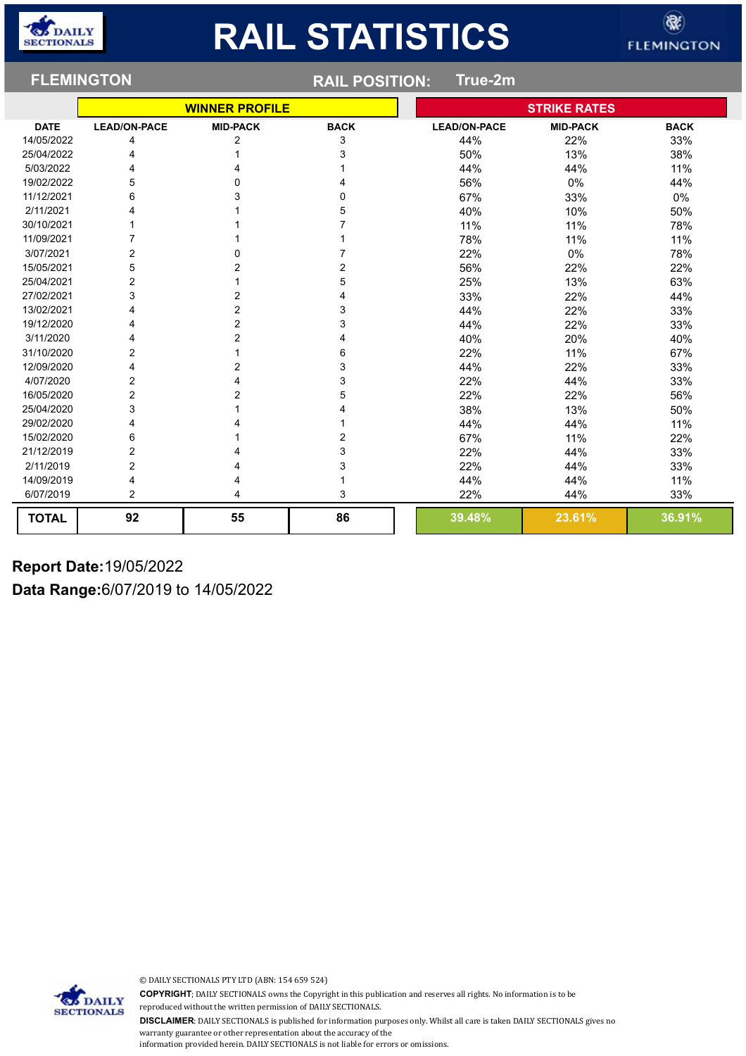| <b>FLEMINGTON</b> |                     |                       | <b>RAIL POSITION:</b> |  |                     |                     |             |
|-------------------|---------------------|-----------------------|-----------------------|--|---------------------|---------------------|-------------|
|                   |                     | <b>WINNER PROFILE</b> |                       |  |                     | <b>STRIKE RATES</b> |             |
| <b>DATE</b>       | <b>LEAD/ON-PACE</b> | <b>MID-PACK</b>       | <b>BACK</b>           |  | <b>LEAD/ON-PACE</b> | <b>MID-PACK</b>     | <b>BACK</b> |
| 14/05/2022        | 4                   | 2                     | 3                     |  | 44%                 | 22%                 | 33%         |
| 25/04/2022        | 4                   |                       | 3                     |  | 50%                 | 13%                 | 38%         |
| 5/03/2022         | 4                   |                       |                       |  | 44%                 | 44%                 | 11%         |
| 19/02/2022        | 5                   | 0                     | 4                     |  | 56%                 | 0%                  | 44%         |
| 11/12/2021        | 6                   | 3                     | 0                     |  | 67%                 | 33%                 | 0%          |
| 2/11/2021         |                     |                       | 5                     |  | 40%                 | 10%                 | 50%         |
| 30/10/2021        |                     |                       | 7                     |  | 11%                 | 11%                 | 78%         |
| 11/09/2021        |                     |                       |                       |  | 78%                 | 11%                 | 11%         |
| 3/07/2021         | 2                   | 0                     |                       |  | 22%                 | 0%                  | 78%         |
| 15/05/2021        | 5                   | 2                     | 2                     |  | 56%                 | 22%                 | 22%         |
| 25/04/2021        | $\overline{2}$      |                       | 5                     |  | 25%                 | 13%                 | 63%         |
| 27/02/2021        | 3                   | $\overline{2}$        | 4                     |  | 33%                 | 22%                 | 44%         |
| 13/02/2021        | 4                   | 2                     | 3                     |  | 44%                 | 22%                 | 33%         |
| 19/12/2020        | 4                   | $\overline{2}$        | 3                     |  | 44%                 | 22%                 | 33%         |
| 3/11/2020         | 4                   | $\overline{2}$        | 4                     |  | 40%                 | 20%                 | 40%         |
| 31/10/2020        | 2                   |                       | 6                     |  | 22%                 | 11%                 | 67%         |
| 12/09/2020        | 4                   | 2                     | 3                     |  | 44%                 | 22%                 | 33%         |
| 4/07/2020         | 2                   |                       | 3                     |  | 22%                 | 44%                 | 33%         |
| 16/05/2020        | $\overline{c}$      | 2                     | 5                     |  | 22%                 | 22%                 | 56%         |
| 25/04/2020        | 3                   |                       | 4                     |  | 38%                 | 13%                 | 50%         |
| 29/02/2020        | 4                   |                       |                       |  | 44%                 | 44%                 | 11%         |
| 15/02/2020        | 6                   |                       | 2                     |  | 67%                 | 11%                 | 22%         |
| 21/12/2019        | 2                   |                       | 3                     |  | 22%                 | 44%                 | 33%         |
| 2/11/2019         | $\overline{2}$      |                       | 3                     |  | 22%                 | 44%                 | 33%         |
| 14/09/2019        | 4                   |                       |                       |  | 44%                 | 44%                 | 11%         |
| 6/07/2019         | 2                   | 4                     | 3                     |  | 22%                 | 44%                 | 33%         |
| <b>TOTAL</b>      | 92                  | 55                    | 86                    |  | 39.48%              | 23.61%              | 36.91%      |

#### **Report Date:**19/05/2022

**Data Range:**6/07/2019 to 14/05/2022

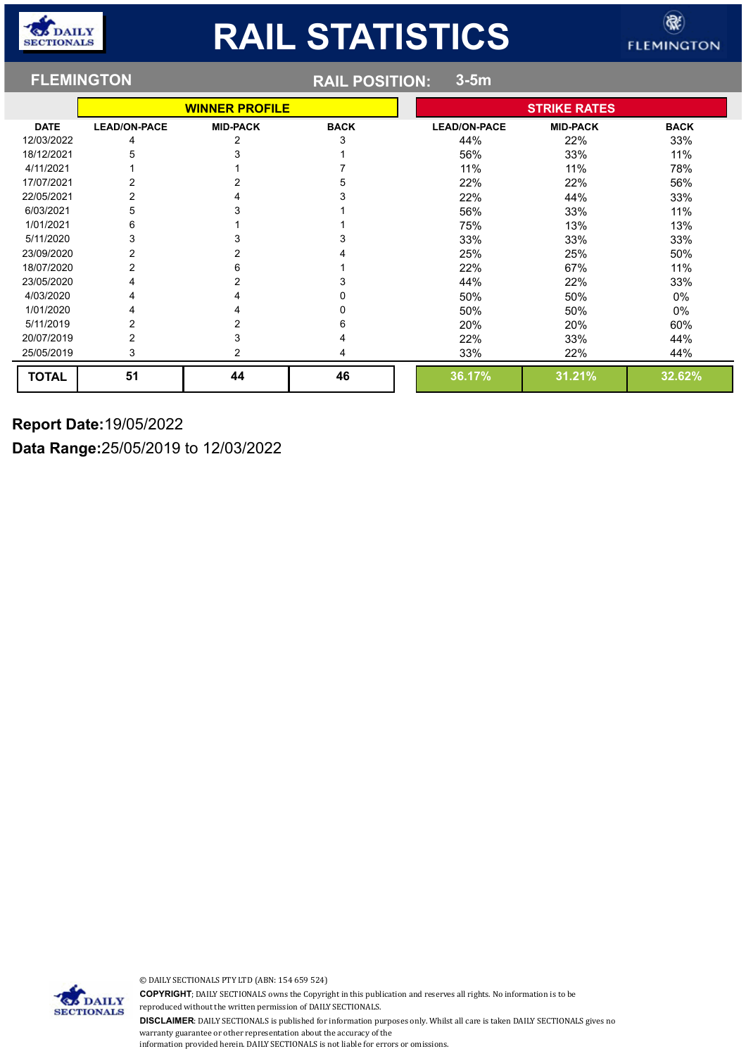|              | <b>FLEMINGTON</b>     | <b>RAIL POSITION:</b><br>$3-5m$ |             |                     |                 |             |  |
|--------------|-----------------------|---------------------------------|-------------|---------------------|-----------------|-------------|--|
|              | <b>WINNER PROFILE</b> |                                 |             | <b>STRIKE RATES</b> |                 |             |  |
| <b>DATE</b>  | <b>LEAD/ON-PACE</b>   | <b>MID-PACK</b>                 | <b>BACK</b> | <b>LEAD/ON-PACE</b> | <b>MID-PACK</b> | <b>BACK</b> |  |
| 12/03/2022   | 4                     |                                 | 3           | 44%                 | 22%             | 33%         |  |
| 18/12/2021   |                       |                                 |             | 56%                 | 33%             | 11%         |  |
| 4/11/2021    |                       |                                 |             | 11%                 | 11%             | 78%         |  |
| 17/07/2021   |                       |                                 |             | 22%                 | 22%             | 56%         |  |
| 22/05/2021   |                       |                                 |             | 22%                 | 44%             | 33%         |  |
| 6/03/2021    | 5                     |                                 |             | 56%                 | 33%             | 11%         |  |
| 1/01/2021    | 6                     |                                 |             | 75%                 | 13%             | 13%         |  |
| 5/11/2020    | 3                     |                                 |             | 33%                 | 33%             | 33%         |  |
| 23/09/2020   | 2                     |                                 |             | 25%                 | 25%             | 50%         |  |
| 18/07/2020   |                       | 6                               |             | 22%                 | 67%             | 11%         |  |
| 23/05/2020   |                       |                                 |             | 44%                 | 22%             | 33%         |  |
| 4/03/2020    | 4                     |                                 |             | 50%                 | 50%             | $0\%$       |  |
| 1/01/2020    | 4                     |                                 |             | 50%                 | 50%             | $0\%$       |  |
| 5/11/2019    | 2                     |                                 | ห           | 20%                 | 20%             | 60%         |  |
| 20/07/2019   | 2                     |                                 |             | 22%                 | 33%             | 44%         |  |
| 25/05/2019   | 3                     |                                 | 4           | 33%                 | 22%             | 44%         |  |
| <b>TOTAL</b> | 51                    | 44                              | 46          | 36.17%              | 31.21%          | 32.62%      |  |

**Report Date:**19/05/2022

**Data Range:**25/05/2019 to 12/03/2022

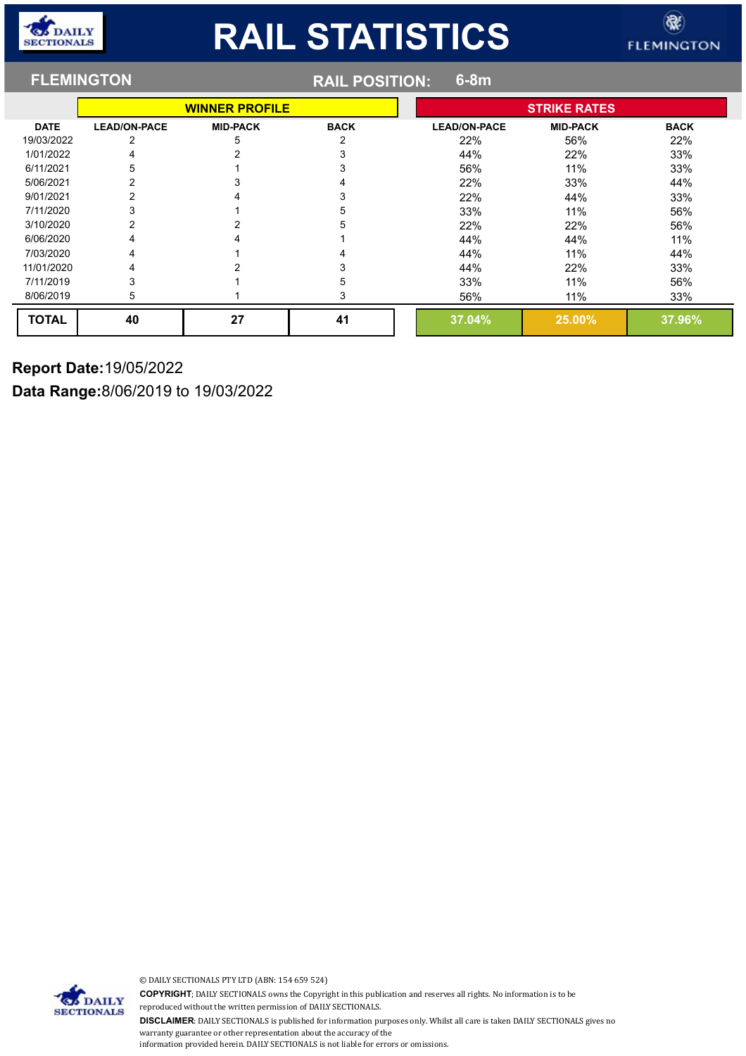|              | <b>FLEMINGTON</b>     |                 | <b>RAIL POSITION:</b><br>$6-8m$ |  |                     |                 |             |  |
|--------------|-----------------------|-----------------|---------------------------------|--|---------------------|-----------------|-------------|--|
|              | <b>WINNER PROFILE</b> |                 |                                 |  | <b>STRIKE RATES</b> |                 |             |  |
| <b>DATE</b>  | <b>LEAD/ON-PACE</b>   | <b>MID-PACK</b> | <b>BACK</b>                     |  | <b>LEAD/ON-PACE</b> | <b>MID-PACK</b> | <b>BACK</b> |  |
| 19/03/2022   | 2                     | 5               | 2                               |  | 22%                 | 56%             | 22%         |  |
| 1/01/2022    |                       |                 |                                 |  | 44%                 | 22%             | 33%         |  |
| 6/11/2021    | 5                     |                 |                                 |  | 56%                 | 11%             | 33%         |  |
| 5/06/2021    |                       |                 |                                 |  | 22%                 | 33%             | 44%         |  |
| 9/01/2021    |                       |                 |                                 |  | 22%                 | 44%             | 33%         |  |
| 7/11/2020    |                       |                 | 5                               |  | 33%                 | 11%             | 56%         |  |
| 3/10/2020    |                       |                 |                                 |  | 22%                 | 22%             | 56%         |  |
| 6/06/2020    |                       |                 |                                 |  | 44%                 | 44%             | 11%         |  |
| 7/03/2020    |                       |                 |                                 |  | 44%                 | 11%             | 44%         |  |
| 11/01/2020   |                       |                 |                                 |  | 44%                 | 22%             | 33%         |  |
| 7/11/2019    |                       |                 |                                 |  | 33%                 | 11%             | 56%         |  |
| 8/06/2019    | 5                     |                 | 3                               |  | 56%                 | 11%             | 33%         |  |
| <b>TOTAL</b> | 40                    | 27              | 41                              |  | 37.04%              | 25.00%          | 37.96%      |  |

#### **Report Date:**19/05/2022

**Data Range:**8/06/2019 to 19/03/2022

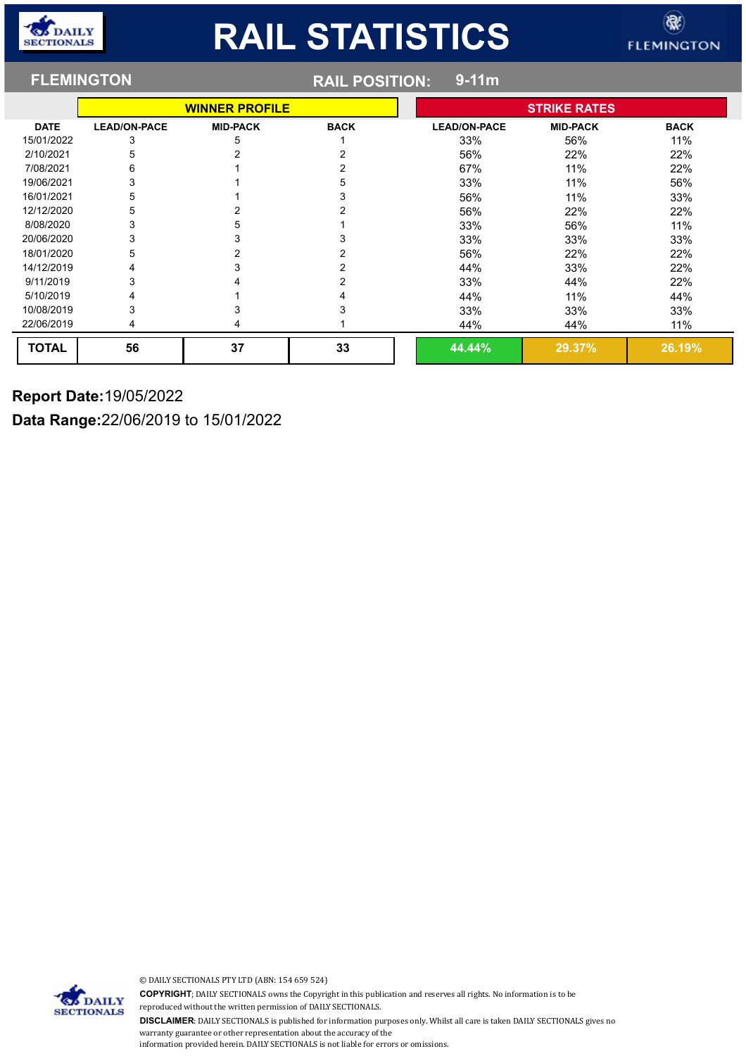#### **FLEMINGTON RAIL POSITION: 9-11m WINNER PROFILE STRIKE RATES DATE LEAD/ON-PACE MID-PACK BACK LEAD/ON-PACE MID-PACK BACK** 15/01/2022 3 3 5 5 1 33% 56% 56% 11% 2/10/2021 5 2 2 56% 22% 22% 7/08/2021 6 1 2 67% 11% 22% 19/06/2021 3 3 1 56% 56% 56% 33% 11% 56% 16/01/2021 5 1 1 3 33% 56% 11% 33% 12/12/2020 5 2 2 2 2 56% 22% 22% 22% 22% 8/08/2020 3 5 1 33% 56% 11% 20/06/2020 3 3 3 33% 33% 33% 18/01/2020 5 2 2 2 2 56% 22% 22% 22% 22% 22% 14/12/2019 4 4 3 3 2 44% 44% 33% 22% 9/11/2019 3 4 2 33% 44% 22% 5/10/2019 4 1 4 44% 11% 44% 10/08/2019 3 3 3 33% 33% 33% 22/06/2019 4 4 1 44% 44% 11% **TOTAL 56 37 33 44.44% 29.37% 26.19%**

#### **Report Date:**19/05/2022

**Data Range:**22/06/2019 to 15/01/2022